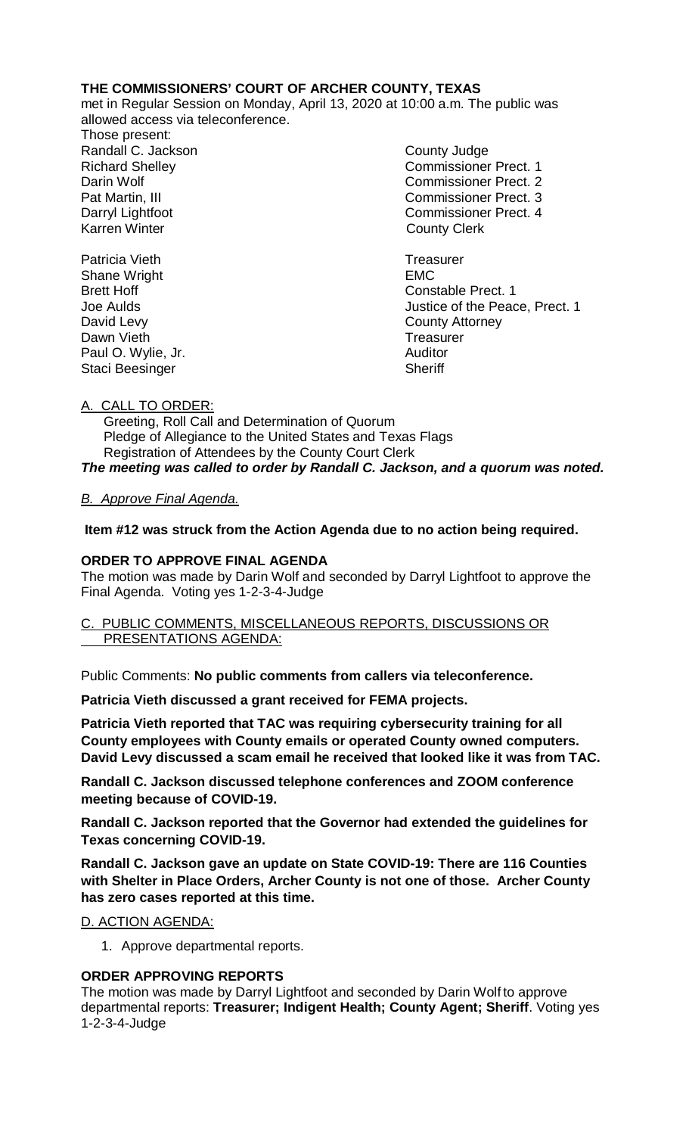# **THE COMMISSIONERS' COURT OF ARCHER COUNTY, TEXAS**

met in Regular Session on Monday, April 13, 2020 at 10:00 a.m. The public was allowed access via teleconference.

Those present: Randall C. Jackson County Judge Karren Winter **County Clerk** 

Richard Shelley Commissioner Prect. 1 Darin Wolf Commissioner Prect. 2 Pat Martin, III Commissioner Prect. 3 Darryl Lightfoot Commissioner Prect. 4

Patricia Vieth **Treasurer Treasurer** Shane Wright **EMC** Brett Hoff Constable Prect. 1 Joe Aulds Justice of the Peace, Prect. 1 David Levy<br>
Dawn Vieth County Attorney<br>
Dawn Vieth County Attorney Dawn Vieth Treasurer and Treasurer and Treasurer and Treasurer and Treasurer and Treasurer and Treasurer and Treasurer and Treasurer and Treasurer and Treasurer and Treasurer and Treasurer and Treasurer and Treasurer and T Paul O. Wylie, Jr. (2008) 2008 - Auditor (2019) 2014 2022 2023 2024 2024 2022 2023 2024 2022 2023 2024 2025 20<br>Sheriff

# A. CALL TO ORDER:

Staci Beesinger

 Greeting, Roll Call and Determination of Quorum Pledge of Allegiance to the United States and Texas Flags Registration of Attendees by the County Court Clerk

*The meeting was called to order by Randall C. Jackson, and a quorum was noted.*

# *B. Approve Final Agenda.*

**Item #12 was struck from the Action Agenda due to no action being required.**

## **ORDER TO APPROVE FINAL AGENDA**

The motion was made by Darin Wolf and seconded by Darryl Lightfoot to approve the Final Agenda. Voting yes 1-2-3-4-Judge

#### C. PUBLIC COMMENTS, MISCELLANEOUS REPORTS, DISCUSSIONS OR PRESENTATIONS AGENDA:

Public Comments: **No public comments from callers via teleconference.**

**Patricia Vieth discussed a grant received for FEMA projects.** 

**Patricia Vieth reported that TAC was requiring cybersecurity training for all County employees with County emails or operated County owned computers. David Levy discussed a scam email he received that looked like it was from TAC.**

**Randall C. Jackson discussed telephone conferences and ZOOM conference meeting because of COVID-19.** 

**Randall C. Jackson reported that the Governor had extended the guidelines for Texas concerning COVID-19.**

**Randall C. Jackson gave an update on State COVID-19: There are 116 Counties with Shelter in Place Orders, Archer County is not one of those. Archer County has zero cases reported at this time.**

## D. ACTION AGENDA:

1. Approve departmental reports.

## **ORDER APPROVING REPORTS**

The motion was made by Darryl Lightfoot and seconded by Darin Wolf to approve departmental reports: **Treasurer; Indigent Health; County Agent; Sheriff**. Voting yes 1-2-3-4-Judge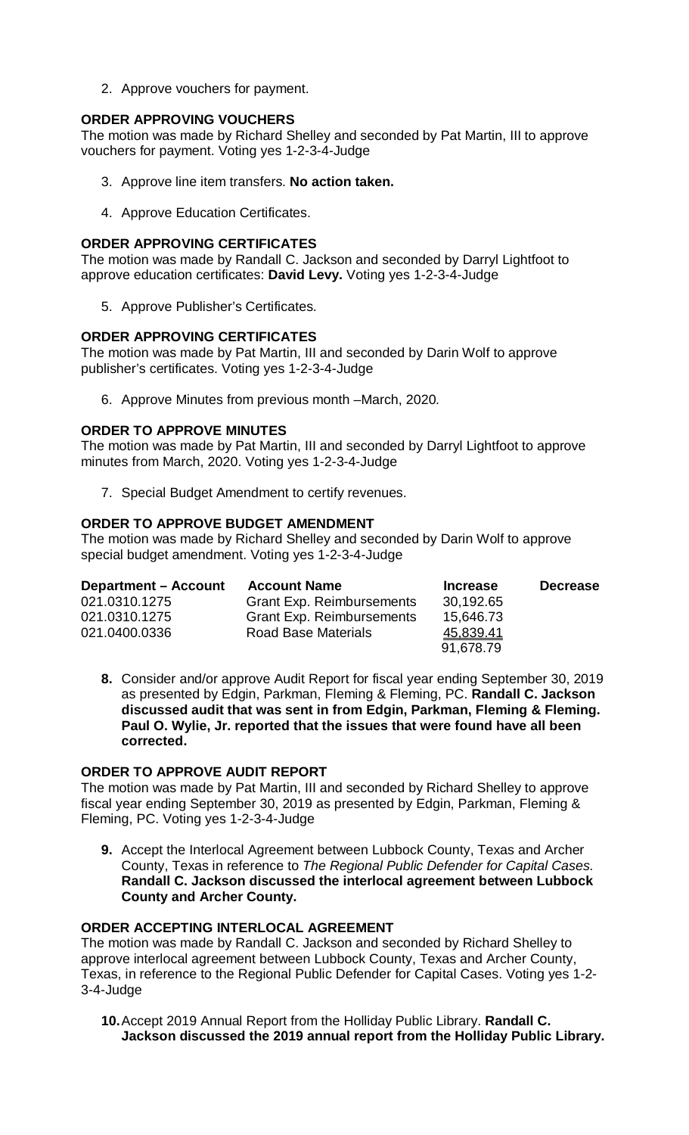2. Approve vouchers for payment.

## **ORDER APPROVING VOUCHERS**

The motion was made by Richard Shelley and seconded by Pat Martin, III to approve vouchers for payment. Voting yes 1-2-3-4-Judge

- 3. Approve line item transfers. **No action taken.**
- 4. Approve Education Certificates.

#### **ORDER APPROVING CERTIFICATES**

The motion was made by Randall C. Jackson and seconded by Darryl Lightfoot to approve education certificates: **David Levy.** Voting yes 1-2-3-4-Judge

5. Approve Publisher's Certificates.

#### **ORDER APPROVING CERTIFICATES**

The motion was made by Pat Martin, III and seconded by Darin Wolf to approve publisher's certificates. Voting yes 1-2-3-4-Judge

6. Approve Minutes from previous month –March, 2020*.*

#### **ORDER TO APPROVE MINUTES**

The motion was made by Pat Martin, III and seconded by Darryl Lightfoot to approve minutes from March, 2020. Voting yes 1-2-3-4-Judge

7. Special Budget Amendment to certify revenues.

#### **ORDER TO APPROVE BUDGET AMENDMENT**

The motion was made by Richard Shelley and seconded by Darin Wolf to approve special budget amendment. Voting yes 1-2-3-4-Judge

| <b>Department - Account</b> | <b>Account Name</b>              | <b>Increase</b> | <b>Decrease</b> |
|-----------------------------|----------------------------------|-----------------|-----------------|
| 021.0310.1275               | <b>Grant Exp. Reimbursements</b> | 30,192.65       |                 |
| 021.0310.1275               | <b>Grant Exp. Reimbursements</b> | 15,646.73       |                 |
| 021.0400.0336               | <b>Road Base Materials</b>       | 45,839.41       |                 |
|                             |                                  | 91,678.79       |                 |

**8.** Consider and/or approve Audit Report for fiscal year ending September 30, 2019 as presented by Edgin, Parkman, Fleming & Fleming, PC. **Randall C. Jackson discussed audit that was sent in from Edgin, Parkman, Fleming & Fleming. Paul O. Wylie, Jr. reported that the issues that were found have all been corrected.**

## **ORDER TO APPROVE AUDIT REPORT**

The motion was made by Pat Martin, III and seconded by Richard Shelley to approve fiscal year ending September 30, 2019 as presented by Edgin, Parkman, Fleming & Fleming, PC. Voting yes 1-2-3-4-Judge

**9.** Accept the Interlocal Agreement between Lubbock County, Texas and Archer County, Texas in reference to *The Regional Public Defender for Capital Cases.* **Randall C. Jackson discussed the interlocal agreement between Lubbock County and Archer County.**

## **ORDER ACCEPTING INTERLOCAL AGREEMENT**

The motion was made by Randall C. Jackson and seconded by Richard Shelley to approve interlocal agreement between Lubbock County, Texas and Archer County, Texas, in reference to the Regional Public Defender for Capital Cases. Voting yes 1-2- 3-4-Judge

**10.**Accept 2019 Annual Report from the Holliday Public Library. **Randall C. Jackson discussed the 2019 annual report from the Holliday Public Library.**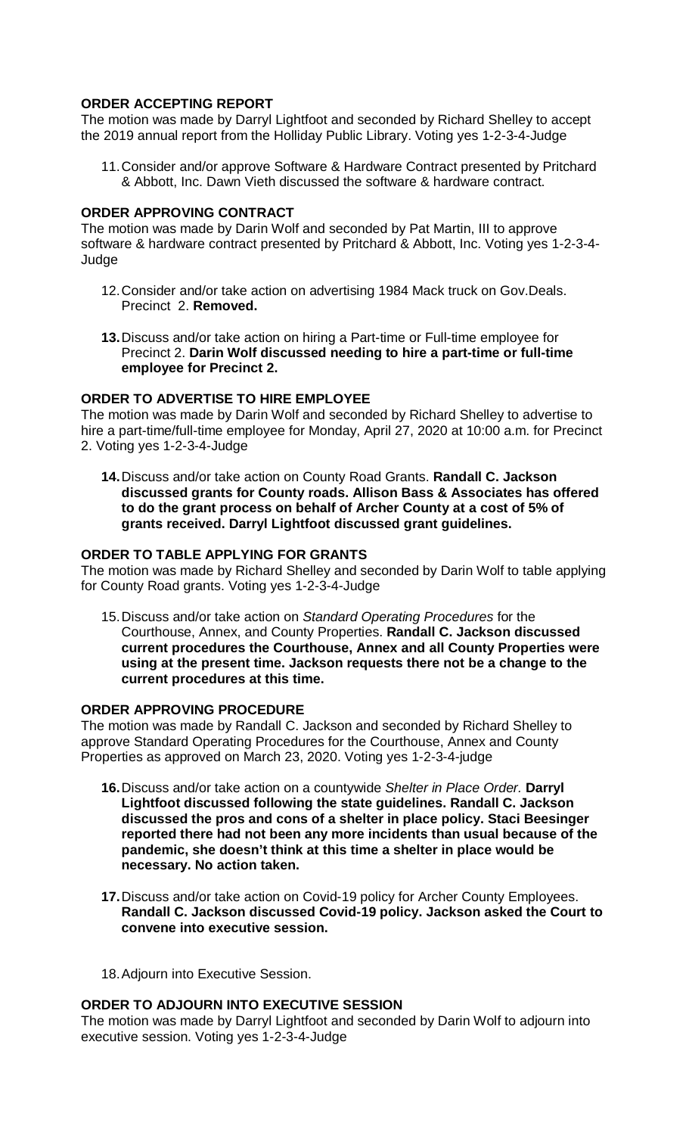## **ORDER ACCEPTING REPORT**

The motion was made by Darryl Lightfoot and seconded by Richard Shelley to accept the 2019 annual report from the Holliday Public Library. Voting yes 1-2-3-4-Judge

11.Consider and/or approve Software & Hardware Contract presented by Pritchard & Abbott, Inc. Dawn Vieth discussed the software & hardware contract.

## **ORDER APPROVING CONTRACT**

The motion was made by Darin Wolf and seconded by Pat Martin, III to approve software & hardware contract presented by Pritchard & Abbott, Inc. Voting yes 1-2-3-4- Judge

- 12.Consider and/or take action on advertising 1984 Mack truck on Gov.Deals. Precinct 2. **Removed.**
- **13.**Discuss and/or take action on hiring a Part-time or Full-time employee for Precinct 2. **Darin Wolf discussed needing to hire a part-time or full-time employee for Precinct 2.**

## **ORDER TO ADVERTISE TO HIRE EMPLOYEE**

The motion was made by Darin Wolf and seconded by Richard Shelley to advertise to hire a part-time/full-time employee for Monday, April 27, 2020 at 10:00 a.m. for Precinct 2. Voting yes 1-2-3-4-Judge

**14.**Discuss and/or take action on County Road Grants. **Randall C. Jackson discussed grants for County roads. Allison Bass & Associates has offered to do the grant process on behalf of Archer County at a cost of 5% of grants received. Darryl Lightfoot discussed grant guidelines.**

#### **ORDER TO TABLE APPLYING FOR GRANTS**

The motion was made by Richard Shelley and seconded by Darin Wolf to table applying for County Road grants. Voting yes 1-2-3-4-Judge

15.Discuss and/or take action on *Standard Operating Procedures* for the Courthouse, Annex, and County Properties. **Randall C. Jackson discussed current procedures the Courthouse, Annex and all County Properties were using at the present time. Jackson requests there not be a change to the current procedures at this time.**

#### **ORDER APPROVING PROCEDURE**

The motion was made by Randall C. Jackson and seconded by Richard Shelley to approve Standard Operating Procedures for the Courthouse, Annex and County Properties as approved on March 23, 2020. Voting yes 1-2-3-4-judge

- **16.**Discuss and/or take action on a countywide *Shelter in Place Order.* **Darryl Lightfoot discussed following the state guidelines. Randall C. Jackson discussed the pros and cons of a shelter in place policy. Staci Beesinger reported there had not been any more incidents than usual because of the pandemic, she doesn't think at this time a shelter in place would be necessary. No action taken.**
- **17.**Discuss and/or take action on Covid-19 policy for Archer County Employees. **Randall C. Jackson discussed Covid-19 policy. Jackson asked the Court to convene into executive session.**

18.Adjourn into Executive Session.

#### **ORDER TO ADJOURN INTO EXECUTIVE SESSION**

The motion was made by Darryl Lightfoot and seconded by Darin Wolf to adjourn into executive session. Voting yes 1-2-3-4-Judge